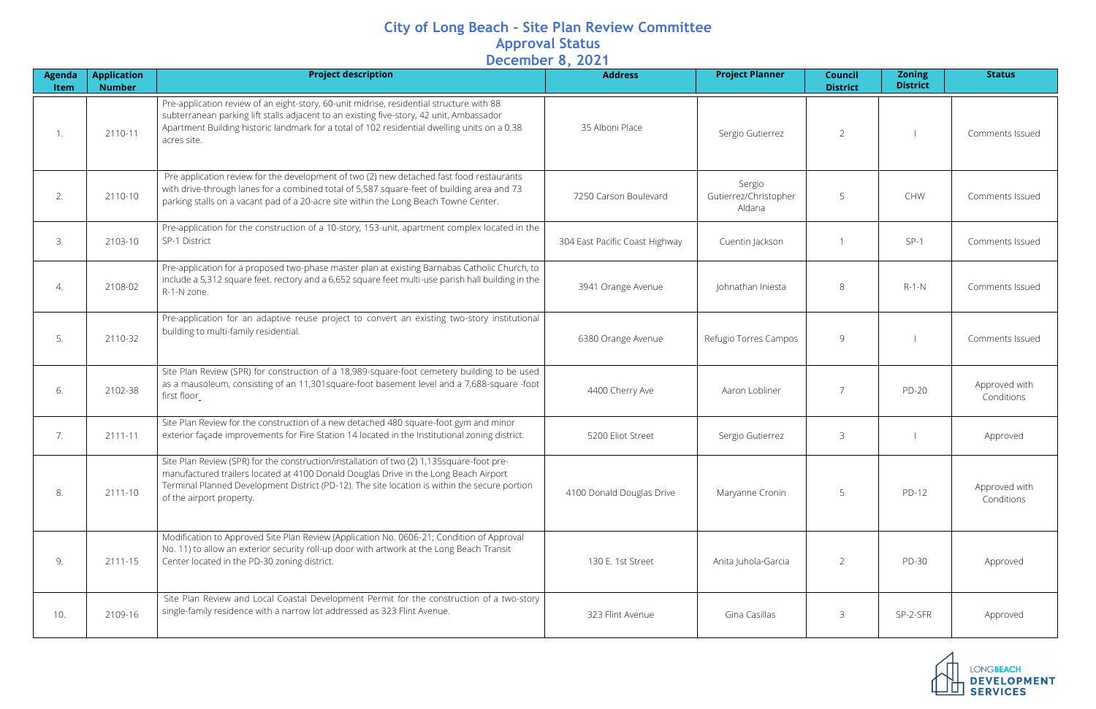## **City of Long Beach - Site Plan Review Committee Approval Status December 8, 2021**

| <b>Agenda</b><br><b>Item</b> | <b>Application</b><br><b>Number</b> | <b>Project description</b>                                                                                                                                                                                                                                                                                     | <b>Address</b>                 | <b>Project Planner</b>                    | <b>Council</b><br><b>District</b> | <b>Zoning</b><br><b>District</b> | <b>Status</b>               |
|------------------------------|-------------------------------------|----------------------------------------------------------------------------------------------------------------------------------------------------------------------------------------------------------------------------------------------------------------------------------------------------------------|--------------------------------|-------------------------------------------|-----------------------------------|----------------------------------|-----------------------------|
| 1.                           | 2110-11                             | Pre-application review of an eight-story, 60-unit midrise, residential structure with 88<br>subterranean parking lift stalls adjacent to an existing five-story, 42 unit, Ambassador<br>Apartment Building historic landmark for a total of 102 residential dwelling units on a 0.38<br>acres site.            | 35 Alboni Place                | Sergio Gutierrez                          | $\overline{2}$                    |                                  | Comments Issued             |
| 2.                           | 2110-10                             | Pre application review for the development of two (2) new detached fast food restaurants<br>with drive-through lanes for a combined total of 5,587 square-feet of building area and 73<br>parking stalls on a vacant pad of a 20-acre site within the Long Beach Towne Center.                                 | 7250 Carson Boulevard          | Sergio<br>Gutierrez/Christopher<br>Aldana | 5                                 | CHW                              | Comments Issued             |
| 3.                           | 2103-10                             | Pre-application for the construction of a 10-story, 153-unit, apartment complex located in the<br>SP-1 District                                                                                                                                                                                                | 304 East Pacific Coast Highway | Cuentin Jackson                           |                                   | $SP-1$                           | Comments Issued             |
| 4.                           | 2108-02                             | Pre-application for a proposed two-phase master plan at existing Barnabas Catholic Church, to<br>include a 5,312 square feet. rectory and a 6,652 square feet multi-use parish hall building in the<br>R-1-N zone.                                                                                             | 3941 Orange Avenue             | Johnathan Iniesta                         | 8                                 | $R-1-N$                          | Comments Issued             |
| 5.                           | 2110-32                             | Pre-application for an adaptive reuse project to convert an existing two-story institutional<br>building to multi-family residential.                                                                                                                                                                          | 6380 Orange Avenue             | Refugio Torres Campos                     | 9                                 |                                  | Comments Issued             |
| 6.                           | 2102-38                             | Site Plan Review (SPR) for construction of a 18,989-square-foot cemetery building to be used<br>as a mausoleum, consisting of an 11,301 square-foot basement level and a 7,688-square -foot<br>first floor_                                                                                                    | 4400 Cherry Ave                | Aaron Lobliner                            | $\overline{7}$                    | <b>PD-20</b>                     | Approved with<br>Conditions |
| 7.                           | 2111-11                             | Site Plan Review for the construction of a new detached 480 square-foot gym and minor<br>exterior façade improvements for Fire Station 14 located in the Institutional zoning district.                                                                                                                        | 5200 Eliot Street              | Sergio Gutierrez                          | 3                                 |                                  | Approved                    |
| 8.                           | 2111-10                             | Site Plan Review (SPR) for the construction/installation of two (2) 1,135square-foot pre-<br>manufactured trailers located at 4100 Donald Douglas Drive in the Long Beach Airport<br>Terminal Planned Development District (PD-12). The site location is within the secure portion<br>of the airport property. | 4100 Donald Douglas Drive      | Maryanne Cronin                           | 5                                 | PD-12                            | Approved with<br>Conditions |
| 9.                           | 2111-15                             | Modification to Approved Site Plan Review (Application No. 0606-21; Condition of Approval<br>No. 11) to allow an exterior security roll-up door with artwork at the Long Beach Transit<br>Center located in the PD-30 zoning district.                                                                         | 130 E. 1st Street              | Anita Juhola-Garcia                       | 2                                 | <b>PD-30</b>                     | Approved                    |
| 10.                          | 2109-16                             | Site Plan Review and Local Coastal Development Permit for the construction of a two-story<br>single-family residence with a narrow lot addressed as 323 Flint Avenue.                                                                                                                                          | 323 Flint Avenue               | Gina Casillas                             | 3                                 | SP-2-SFR                         | Approved                    |